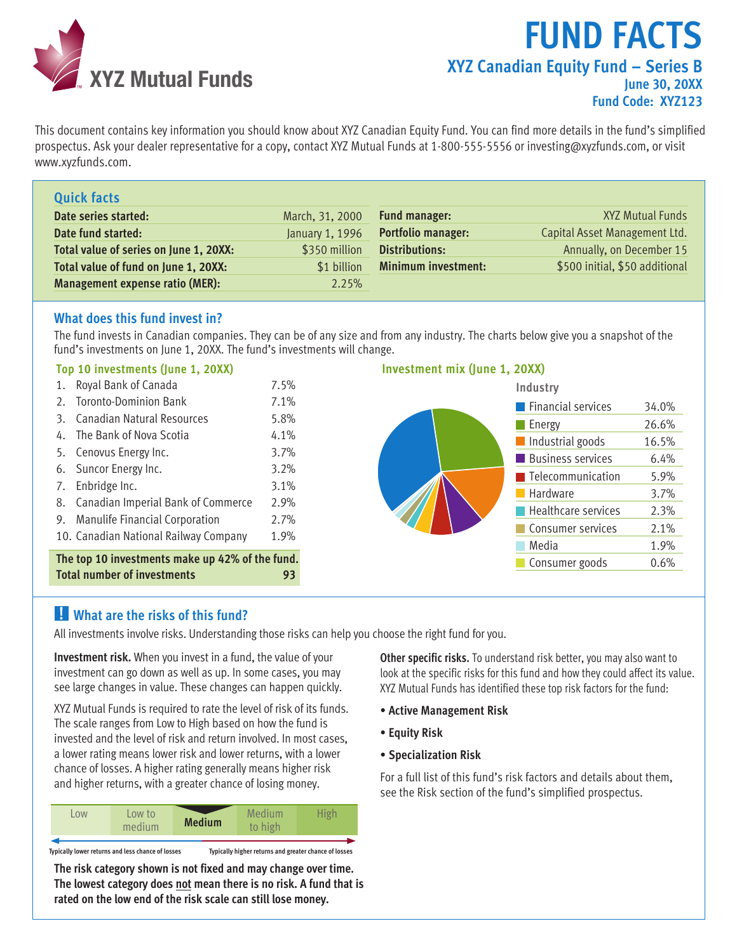

# **Fund Facts XYZ Canadian Equity Fund – Series B June 30, 20XX Fund Code: XYZ123**

This document contains key information you should know about XYZ Canadian Equity Fund. You can find more details in the fund's simplified prospectus. Ask your dealer representative for a copy, contact XYZ Mutual Funds at 1-800-555-5556 or investing@xyzfunds.com, or visit www.xyzfunds.com.

| <b>Quick facts</b>                     |                 |                            |                                |
|----------------------------------------|-----------------|----------------------------|--------------------------------|
| Date series started:                   | March, 31, 2000 | <b>Fund manager:</b>       | <b>XYZ Mutual Funds</b>        |
| Date fund started:                     | January 1, 1996 | <b>Portfolio manager:</b>  | Capital Asset Management Ltd.  |
| Total value of series on June 1, 20XX: | \$350 million   | <b>Distributions:</b>      | Annually, on December 15       |
| Total value of fund on June 1, 20XX:   | \$1 billion     | <b>Minimum investment:</b> | \$500 initial, \$50 additional |
| Management expense ratio (MER):        | 2.25%           |                            |                                |

#### **What does this fund invest in?**

The fund invests in Canadian companies. They can be of any size and from any industry. The charts below give you a snapshot of the fund's investments on June 1, 20XX. The fund's investments will change.

#### **Top 10 investments (June 1, 20XX)**



#### **Investment mix (June 1, 20XX)**



# **! What are the risks of this fund?**

All investments involve risks. Understanding those risks can help you choose the right fund for you.

**Investment risk.** When you invest in a fund, the value of your investment can go down as well as up. In some cases, you may see large changes in value. These changes can happen quickly.

XYZ Mutual Funds is required to rate the level of risk of its funds. The scale ranges from Low to High based on how the fund is invested and the level of risk and return involved. In most cases, a lower rating means lower risk and lower returns, with a lower chance of losses. A higher rating generally means higher risk and higher returns, with a greater chance of losing money.

| <b>OW</b> | Low to<br>medium                                  | <b>Medium</b> | Medium<br>to high                                     | <b>High</b> |
|-----------|---------------------------------------------------|---------------|-------------------------------------------------------|-------------|
|           | Typically lower returns and less chance of losses |               | Typically higher returns and greater chance of losses |             |

**The risk category shown is not fixed and may change over time. The lowest category does not mean there is no risk. A fund that is rated on the low end of the risk scale can still lose money.**

**Other specific risks.** To understand risk better, you may also want to look at the specific risks for this fund and how they could affect its value. XYZ Mutual Funds has identified these top risk factors for the fund:

- **Active Management Risk**
- **Equity Risk**
- **Specialization Risk**

For a full list of this fund's risk factors and details about them, see the Risk section of the fund's simplified prospectus.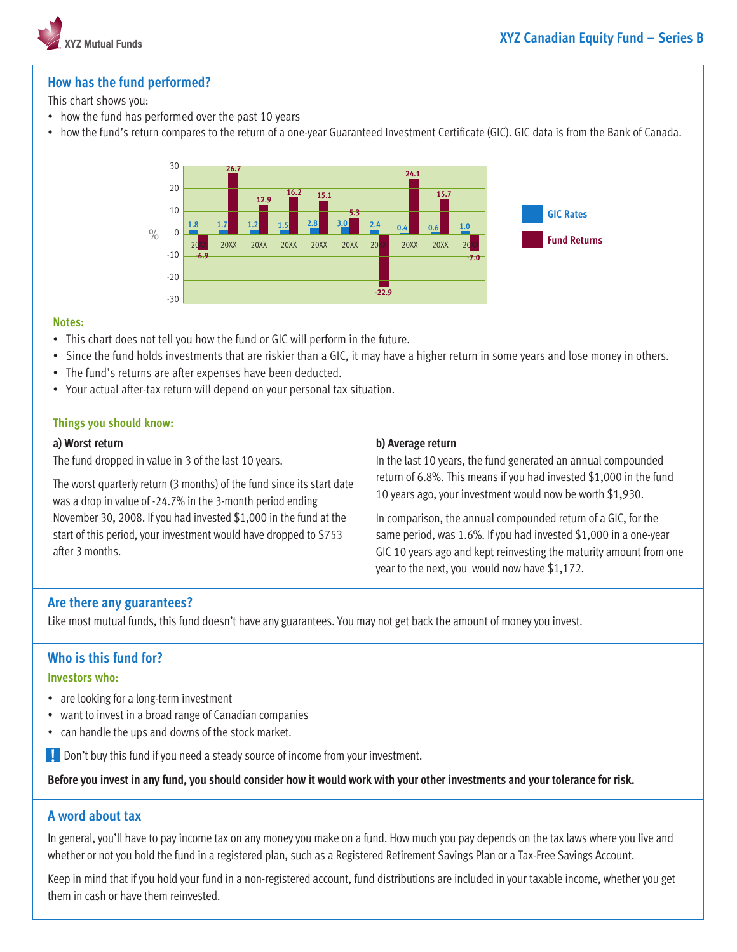

# **How has the fund performed?**

#### This chart shows you:

- how the fund has performed over the past 10 years
- • how the fund's return compares to the return of a one-year Guaranteed Investment Certificate (GIC). GIC data is from the Bank of Canada.



#### **Notes:**

- This chart does not tell you how the fund or GIC will perform in the future.
- Since the fund holds investments that are riskier than a GIC, it may have a higher return in some years and lose money in others.
- The fund's returns are after expenses have been deducted.
- Your actual after-tax return will depend on your personal tax situation.

#### **Things you should know:**

#### **a) Worst return**

The fund dropped in value in 3 of the last 10 years.

The worst quarterly return (3 months) of the fund since its start date was a drop in value of -24.7% in the 3-month period ending November 30, 2008. If you had invested \$1,000 in the fund at the start of this period, your investment would have dropped to \$753 after 3 months.

#### **b) Average return**

In the last 10 years, the fund generated an annual compounded return of 6.8%. This means if you had invested \$1,000 in the fund 10 years ago, your investment would now be worth \$1,930.

In comparison, the annual compounded return of a GIC, for the same period, was 1.6%. If you had invested \$1,000 in a one-year GIC 10 years ago and kept reinvesting the maturity amount from one year to the next, you would now have \$1,172.

#### **Are there any guarantees?**

Like most mutual funds, this fund doesn't have any guarantees. You may not get back the amount of money you invest.

# **Who is this fund for?**

#### **Investors who:**

- are looking for a long-term investment
- want to invest in a broad range of Canadian companies
- can handle the ups and downs of the stock market.

**.** Don't buy this fund if you need a steady source of income from your investment.

**Before you invest in any fund, you should consider how it would work with your other investments and your tolerance for risk.**

# **A word about tax**

In general, you'll have to pay income tax on any money you make on a fund. How much you pay depends on the tax laws where you live and whether or not you hold the fund in a registered plan, such as a Registered Retirement Savings Plan or a Tax-Free Savings Account.

Keep in mind that if you hold your fund in a non-registered account, fund distributions are included in your taxable income, whether you get them in cash or have them reinvested.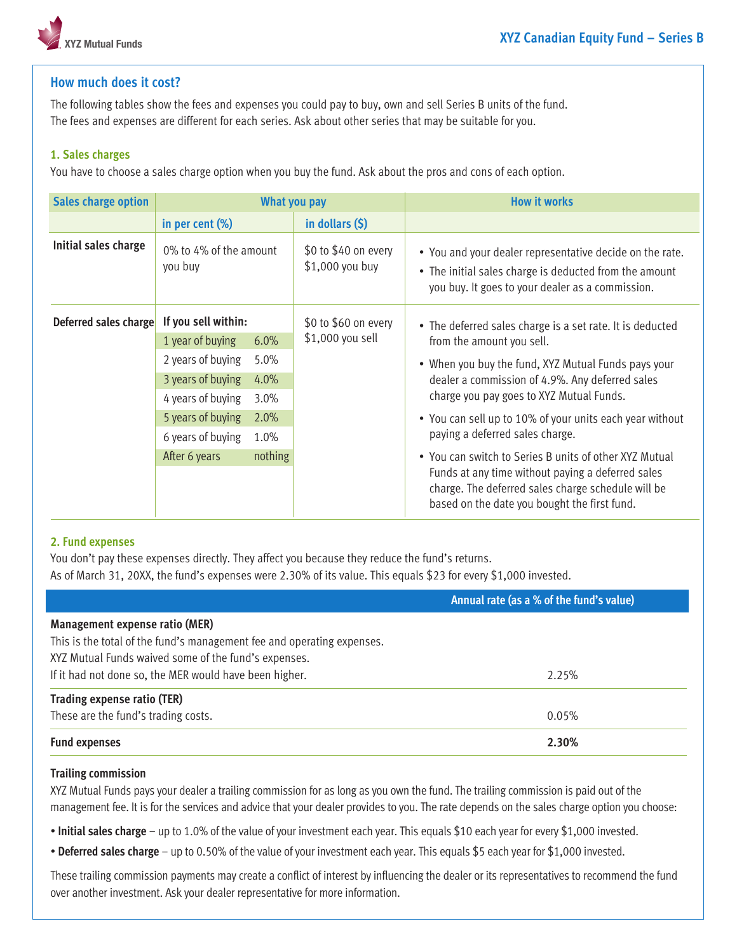

# **How much does it cost?**

The following tables show the fees and expenses you could pay to buy, own and sell Series B units of the fund. The fees and expenses are different for each series. Ask about other series that may be suitable for you.

#### **1. Sales charges**

You have to choose a sales charge option when you buy the fund. Ask about the pros and cons of each option.

| <b>Sales charge option</b> | What you pay                      |                                          |                                                                       | <b>How it works</b>                                                                                                                                                    |
|----------------------------|-----------------------------------|------------------------------------------|-----------------------------------------------------------------------|------------------------------------------------------------------------------------------------------------------------------------------------------------------------|
|                            | in per cent (%)                   |                                          | in dollars $(5)$                                                      |                                                                                                                                                                        |
| Initial sales charge       | 0% to 4% of the amount<br>you buy |                                          | \$0 to \$40 on every<br>\$1,000 you buy                               | • You and your dealer representative decide on the rate.<br>• The initial sales charge is deducted from the amount<br>you buy. It goes to your dealer as a commission. |
| Deferred sales charge      | If you sell within:               |                                          | \$0 to \$60 on every<br>\$1,000 you sell<br>from the amount you sell. | • The deferred sales charge is a set rate. It is deducted                                                                                                              |
|                            | 1 year of buying                  | $6.0\%$                                  |                                                                       |                                                                                                                                                                        |
|                            | 2 years of buying                 | 5.0%                                     |                                                                       | • When you buy the fund, XYZ Mutual Funds pays your                                                                                                                    |
|                            | 3 years of buying                 | 4.0%                                     |                                                                       | dealer a commission of 4.9%. Any deferred sales                                                                                                                        |
|                            | 4 years of buying<br>3.0%         | charge you pay goes to XYZ Mutual Funds. |                                                                       |                                                                                                                                                                        |
|                            | 5 years of buying                 | 2.0%                                     |                                                                       | • You can sell up to 10% of your units each year without<br>paying a deferred sales charge.                                                                            |
|                            | 6 years of buying                 | 1.0%                                     |                                                                       |                                                                                                                                                                        |
|                            | After 6 years                     | nothing                                  |                                                                       | • You can switch to Series B units of other XYZ Mutual                                                                                                                 |
|                            |                                   |                                          |                                                                       | Funds at any time without paying a deferred sales<br>charge. The deferred sales charge schedule will be<br>based on the date you bought the first fund.                |

#### **2. Fund expenses**

You don't pay these expenses directly. They affect you because they reduce the fund's returns. As of March 31, 20XX, the fund's expenses were 2.30% of its value. This equals \$23 for every \$1,000 invested.

#### **Annual rate (as a % of the fund's value)**

| Management expense ratio (MER)<br>This is the total of the fund's management fee and operating expenses. |       |
|----------------------------------------------------------------------------------------------------------|-------|
| XYZ Mutual Funds waived some of the fund's expenses.                                                     |       |
| If it had not done so, the MER would have been higher.                                                   | 2.25% |
| Trading expense ratio (TER)                                                                              |       |
| These are the fund's trading costs.                                                                      | 0.05% |
| <b>Fund expenses</b>                                                                                     | 2.30% |

#### **Trailing commission**

XYZ Mutual Funds pays your dealer a trailing commission for as long as you own the fund. The trailing commission is paid out of the management fee. It is for the services and advice that your dealer provides to you. The rate depends on the sales charge option you choose:

• **Initial sales charge** – up to 1.0% of the value of your investment each year. This equals \$10 each year for every \$1,000 invested.

• **Deferred sales charge** – up to 0.50% of the value of your investment each year. This equals \$5 each year for \$1,000 invested.

These trailing commission payments may create a conflict of interest by influencing the dealer or its representatives to recommend the fund over another investment. Ask your dealer representative for more information.